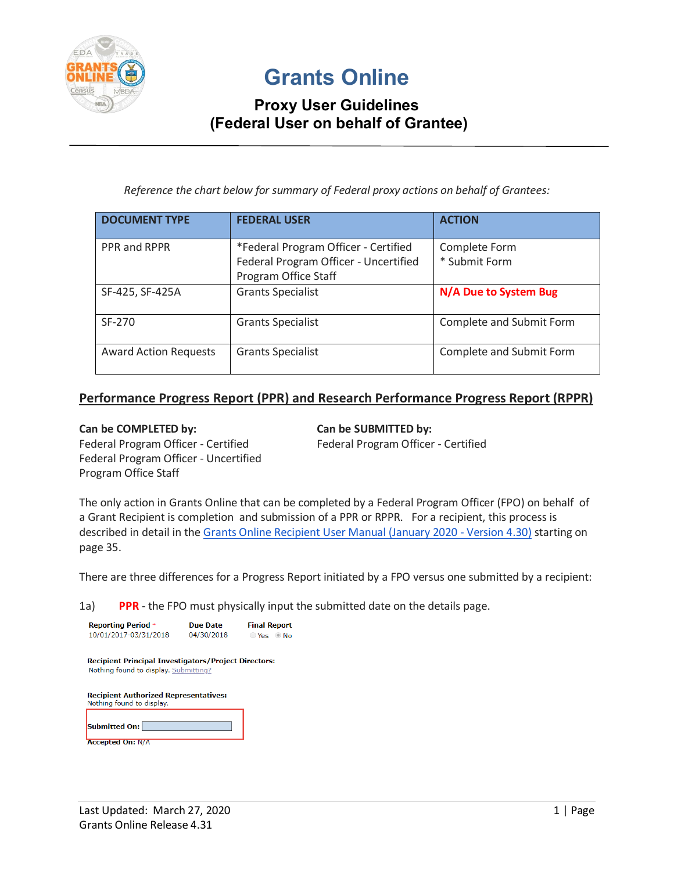

# **Grants Online**

## **Proxy User Guidelines (Federal User on behalf of Grantee)**

*Reference the chart below for summary of Federal proxy actions on behalf of Grantees:*

| <b>DOCUMENT TYPE</b>         | <b>FEDERAL USER</b>                                                                                   | <b>ACTION</b>                  |
|------------------------------|-------------------------------------------------------------------------------------------------------|--------------------------------|
| PPR and RPPR                 | *Federal Program Officer - Certified<br>Federal Program Officer - Uncertified<br>Program Office Staff | Complete Form<br>* Submit Form |
| SF-425, SF-425A              | <b>Grants Specialist</b>                                                                              | N/A Due to System Bug          |
| SF-270                       | <b>Grants Specialist</b>                                                                              | Complete and Submit Form       |
| <b>Award Action Requests</b> | <b>Grants Specialist</b>                                                                              | Complete and Submit Form       |

#### **Performance Progress Report (PPR) and Research Performance Progress Report (RPPR)**

#### Can be COMPLETED by: Can be SUBMITTED by:

Program Office Staff

Federal Program Officer - Uncertified

Federal Program Officer - Certified Federal Program Officer - Certified

The only action in Grants Online that can be completed by a Federal Program Officer (FPO) on behalf of a Grant Recipient is completion and submission of a PPR or RPPR. For a recipient, this process is described in detail in the [Grants Online Recipient User Manual \(January 2020 -](https://www.corporateservices.noaa.gov/grantsonline/Documents/Grantees/Grant_Recipients_User_Manual.pdf) Version 4.30) starting on page 35.

There are three differences for a Progress Report initiated by a FPO versus one submitted by a recipient:

1a) **PPR** - the FPO must physically input the submitted date on the details page.

| <b>Reporting Period *</b>                                   | Due Date   | <b>Final Report</b> |
|-------------------------------------------------------------|------------|---------------------|
| 10/01/2017-03/31/2018                                       | 04/30/2018 | Yes Mo              |
|                                                             |            |                     |
| <b>Recipient Principal Investigators/Project Directors:</b> |            |                     |
| Nothing found to display. Submitting?                       |            |                     |
|                                                             |            |                     |
| <b>Recipient Authorized Representatives:</b>                |            |                     |
| Nothing found to display.                                   |            |                     |
|                                                             |            |                     |
| Submitted On:                                               |            |                     |
| <b>Accepted On: N/A</b>                                     |            |                     |
|                                                             |            |                     |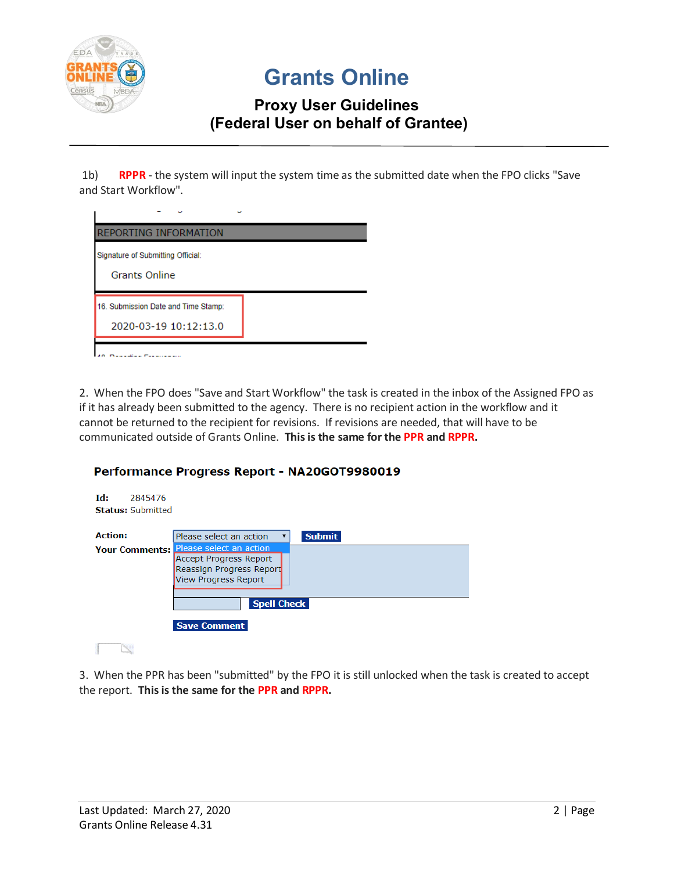

# **Grants Online**

## **Proxy User Guidelines (Federal User on behalf of Grantee)**

1b) **RPPR** - the system will input the system time as the submitted date when the FPO clicks "Save and Start Workflow".

2. When the FPO does "Save and Start Workflow" the task is created in the inbox of the Assigned FPO as if it has already been submitted to the agency. There is no recipient action in the workflow and it cannot be returned to the recipient for revisions. If revisions are needed, that will have to be communicated outside of Grants Online. **This is the same for the PPR and RPPR.**

#### Performance Progress Report - NA20GOT9980019

| Td:<br>2845476<br><b>Status: Submitted</b> |                                                                                                                     |
|--------------------------------------------|---------------------------------------------------------------------------------------------------------------------|
| <b>Action:</b>                             | <b>Submit</b><br>Please select an action                                                                            |
| <b>Your Comments:</b>                      | Please select an action<br><b>Accept Progress Report</b><br>Reassign Progress Report<br><b>View Progress Report</b> |
|                                            | <b>Spell Check</b><br><b>Save Comment</b>                                                                           |

3. When the PPR has been "submitted" by the FPO it is still unlocked when the task is created to accept the report. **This is the same for the PPR and RPPR.**